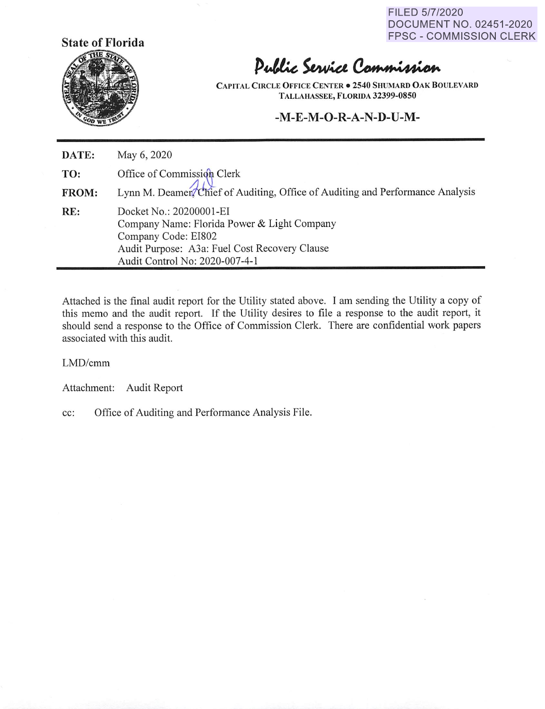FILED 5/7/2020 DOCUMENT NO. 02451-2020 FPSC - COMMISSION CLERK



# Public Service Commission

**CAPITAL CIRCLE OFFICE CENTER• 2540 SHUMARD OAK BOULEVARD TALLAHASSEE, FLORIDA 32399-0850** 

## **-M-E-M-O-R-A-N-D-U-M-**

**DATE: TO: FROM: RE:**  May 6, 2020 Office of Commission Clerk Lynn M. Deamer Chief of Auditing, Office of Auditing and Performance Analysis Docket No.: 20200001-EI Company Name: Florida Power & Light Company Company Code: EI802 Audit Purpose: A3a: Fuel Cost Recovery Clause Audit Control No: 2020-007-4-1

Attached is the final audit report for the Utility stated above. I am sending the Utility a copy of this memo and the audit report. If the Utility desires to file a response to the audit report, it should send a response to the Office of Commission Clerk. There are confidential work papers associated with this audit.

#### LMD/cmm

Attachment: Audit Report

cc: Office of Auditing and Performance Analysis File.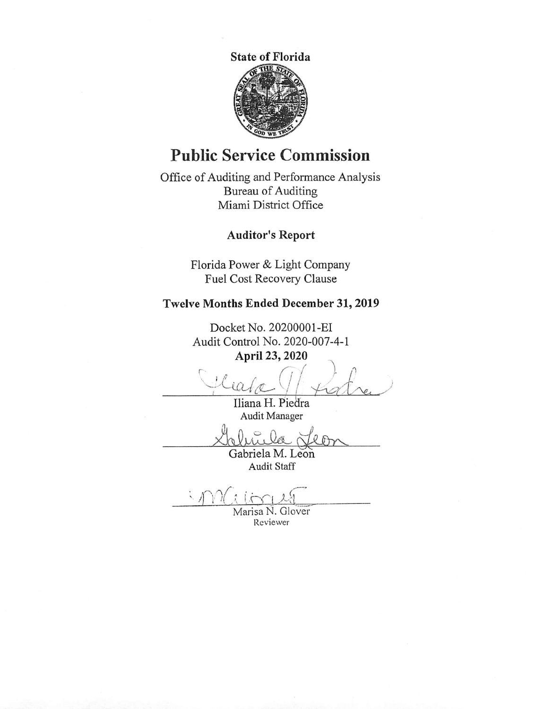**State of Florida 6!** 

# **Public Service Commission**

Office of Auditing and Performance Analysis Bureau of Auditing Miami District Office

# **Auditor's Report**

Florida Power & Light Company Fuel Cost Recovery Clause

# **Twelve Months Ended December 31, 2019**

Docket No. 20200001-EI Audit Control No. 2020-007-4-1 **April 23, 2020** 

**April 23, 2020**<br> **April 23, 2020**<br>
<u>Cleade Jorde</u>

Iliana H. Piedra Audit Manager

Audit Manager<br>*Louis Cabriela M. Leon* 

Audit Staff

Marisa N. Glover Reviewer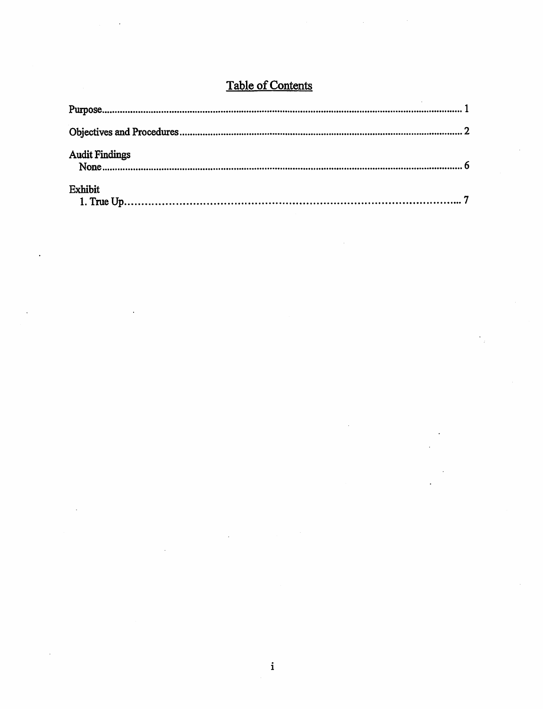# Table of Contents

| <b>Audit Findings</b> |  |
|-----------------------|--|
| <b>Exhibit</b>        |  |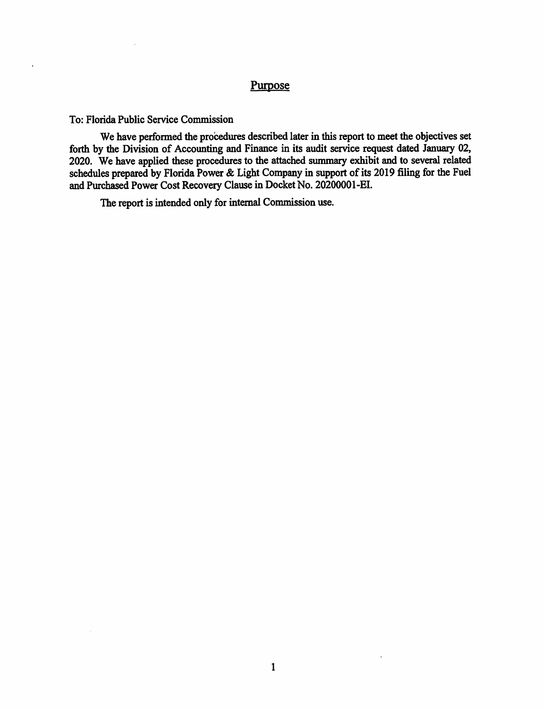## Purpose

To: Florida Public Service Commission

 $\ddot{\phantom{1}}$ 

We have performed the procedures described later in this report to meet the objectives set forth by the Division of Accounting and Finance in its audit service request dated January 02, 2020. We have applied these procedures to the attached summary exhibit and to several related schedules prepared by Florida Power & Light Company in support of its 2019 filing for the Fuel and Purchased Power Cost Recovery Clause in Docket No. 20200001-EI.

The report is intended only for internal Commission use.

 $\ddot{\phantom{a}}$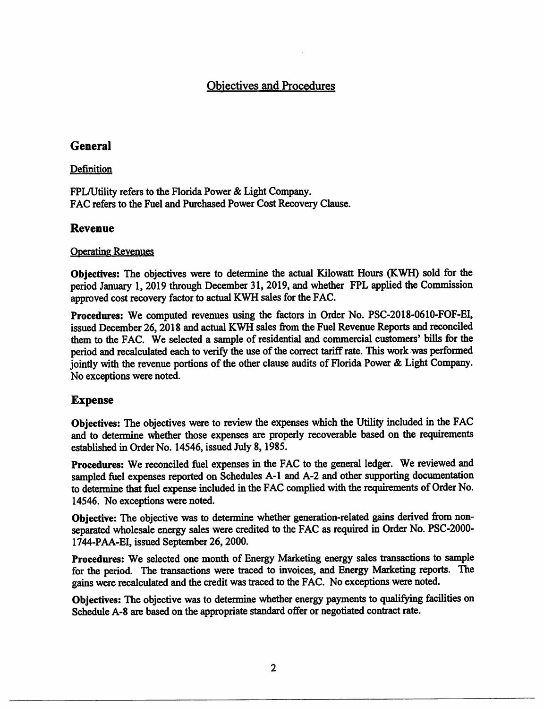# Objectives and Procedures

## **General**

#### Definition

FPL/Utility refers to the Florida Power & Light Company. FAC refers to the Fuel and Purchased Power Cost Recovery Clause.

### **Revenue**

#### Operating Revenues

**Objectives:** The objectives were to determine the actual Kilowatt Hours (KWH) sold for the period January 1, 2019 through December 31, 2019, and whether FPL applied the Commission approved cost recovery factor to actual KWH sales for the FAC.

**Procedures:** We computed revenues using the factors in Order No. PSC-2018-0610-FOF-EI, issued December 26, 2018 and actual KWH sales from the Fuel Revenue Reports and reconciled them to the FAC. We selected a sample of residential and commercial customers' bills for the period and recalculated each to verify the use of the correct tariff rate. This work was performed jointly with the revenue portions of the other clause audits of Florida Power & Light Company. No exceptions were noted.

### **Expense**

Objectives: The objectives were to review the expenses which the Utility included in the FAC and to determine whether those expenses are properly recoverable based on the requirements established in Order No. 14546, issued July 8, 1985.

**Procedures:** We reconciled fuel expenses in the FAC to the general ledger. We reviewed and sampled fuel expenses reported on Schedules A-1 and A-2 and other supporting documentation to determine that fuel expense included in the F AC complied with the requirements of Order No. 14546. No exceptions were noted.

**Objective:** The objective was to determine whether generation-related gains derived from nonseparated wholesale energy sales were credited to the FAC as required in Order No. PSC-2000-1744-P AA-EI, issued September 26, 2000.

**Procedures:** We selected one month of Energy Marketing energy sales transactions to sample for the period. The transactions were traced to invoices, and Energy Marketing reports. The gains were recalculated and the credit was traced to the FAC. No exceptions were noted.

**Objectives:** The objective was to determine whether energy payments to qualifying facilities on Schedule A-8 are based on the appropriate standard offer or negotiated contract rate.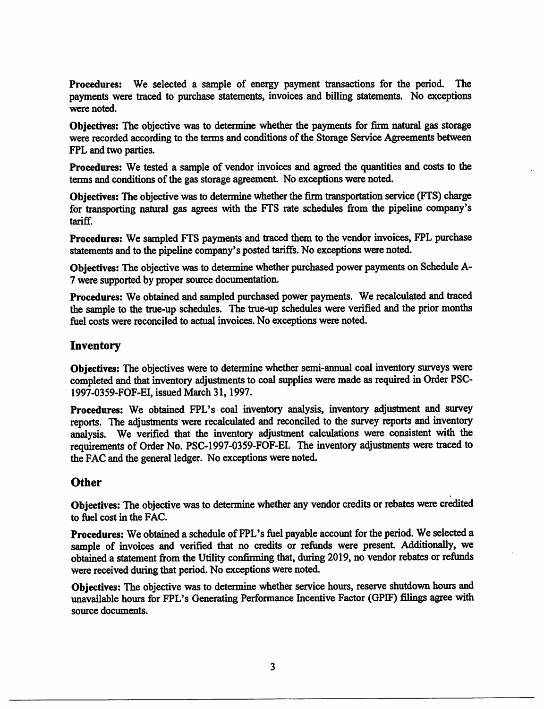**Procedures:** We selected a sample of energy payment transactions for the period. The payments were traced to purchase statements, invoices and billing statements. No exceptions were noted.

**Objectives:** The objective was to determine whether the payments for firm natural gas storage were recorded according to the terms and conditions of the Storage Service Agreements between FPL and two parties.

**Procedures:** We tested a sample of vendor invoices and agreed the quantities and costs to the terms and conditions of the gas storage agreement. No exceptions were noted.

**Objectives:** The objective was to determine whether the finn transportation service (FTS) charge for transporting natural gas agrees with the FTS rate schedules from the pipeline company's tariff.

**Procedures:** We sampled FTS payments and traced them to the vendor invoices, FPL purchase statements and to the pipeline company's posted tariffs. No exceptions were noted.

**Objectives:** The objective was to determine whether purchased power payments on Schedule A-7 were supported by proper source documentation.

**Procedures:** We obtained and sampled purchased power payments. We recalculated and traced the sample to the true-up schedules. The true-up schedules were verified and the prior months fuel costs were reconciled to actual invoices. No exceptions were noted.

#### **Inventory**

**Objectives:** The objectives were to determine whether semi-annual coal inventory surveys were completed and that inventory adjustments to coal supplies were made as required in Order PSC-1997-0359-FOF-EI, issued March 31, 1997.

Procedures: We obtained FPL's coal inventory analysis, inventory adjustment and survey reports. The adjustments were recalculated and reconciled to the survey reports and inventory analysis. We verified that the inventory adjustment calculations were consistent with the requirements of Order No. PSC-1997-0359-FOF-EI. The inventory adjustments were traced to the FAC and the general ledger. No exceptions were noted.

#### **Other**

**Objectives:** The objective was to determine whether any vendor credits or rebates were credited to fuel cost in the FAC.

Procedures: We obtained a schedule of FPL's fuel payable account for the period. We selected a sample of invoices and verified that no credits or refunds were present. Additionally, we obtained a statement from the Utility confirming that, during 2019, no vendor rebates or refunds were received during that period. No exceptions were noted.

**Objectives:** The objective was to determine whether service hours, reserve shutdown hours and unavailable hours for FPL's Generating Performance Incentive Factor (GPIF) filings agree with source documents.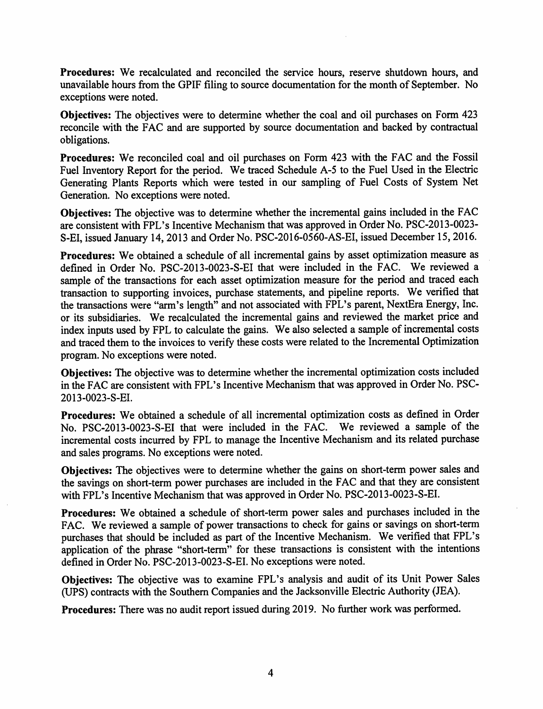**Procedures:** We recalculated and reconciled the service hours, reserve shutdown hours, and unavailable hours from the GPIF filing to source documentation for the month of September. No exceptions were noted.

**Objectives:** The objectives were to determine whether the coal and oil purchases on Form <sup>423</sup> reconcile with the FAC and are supported by source documentation and backed by contractual obligations.

**Procedures:** We reconciled coal and oil purchases on Form 423 with the FAC and the Fossil Fuel Inventory Report for the period. We traced Schedule A-5 to the Fuel Used in the Electric Generating Plants Reports which were tested in our sampling of Fuel Costs of System Net Generation. No exceptions were noted.

**Objectives:** The objective was to determine whether the incremental gains included in the FAC are consistent with FPL's Incentive Mechanism that was approved in Order No. PSC-2013-0023- S-EI, issued January 14, 2013 and Order No. PSC-2016-0560-AS-EI, issued December 15, 2016.

**Procedures:** We obtained a schedule of all incremental gains by asset optimization measure as defined in Order No. PSC-2013-0023-S-EI that were included in the FAC. We reviewed a sample of the transactions for each asset optimization measure for the period and traced each transaction to supporting invoices, purchase statements, and pipeline reports. We verified that the transactions were "arm's length" and not associated with FPL's parent, NextEra Energy, Inc. or its subsidiaries. We recalculated the incremental gains and reviewed the market price and index inputs used by FPL to calculate the gains. We also selected a sample of incremental costs and traced them to the invoices to verify these costs were related to the Incremental Optimization program. No exceptions were noted.

**Objectives:** The objective was to determine whether the incremental optimization costs included in the FAC are consistent with FPL's Incentive Mechanism that was approved in Order No. PSC-2013-0023-S-EI.

**Procedures:** We obtained a schedule of all incremental optimization costs as defined in Order No. PSC-2013-0023-S-EI that were included in the FAC. We reviewed a sample of the incremental costs incurred by FPL to manage the Incentive Mechanism and its related purchase and sales programs. No exceptions were noted.

**Objectives:** The objectives were to determine whether the gains on short-term power sales and the savings on short-term power purchases are included in the FAC and that they are consistent with FPL's Incentive Mechanism that was approved in Order No. PSC-2013-0023-S-EI.

**Procedures:** We obtained a schedule of short-term power sales and purchases included in the FAC. We reviewed a sample of power transactions to check for gains or savings on short-term purchases that should be included as part of the Incentive Mechanism. We verified that FPL's application of the phrase "short-term" for these transactions is consistent with the intentions defined in Order No. PSC-2013-0023-S-EI. No exceptions were noted.

**Objectives:** The objective was to examine FPL 's analysis and audit of its Unit Power Sales (UPS) contracts with the Southern Companies and the Jacksonville Electric Authority (JEA).

**Procedures:** There was no audit report issued during 2019. No further work was performed.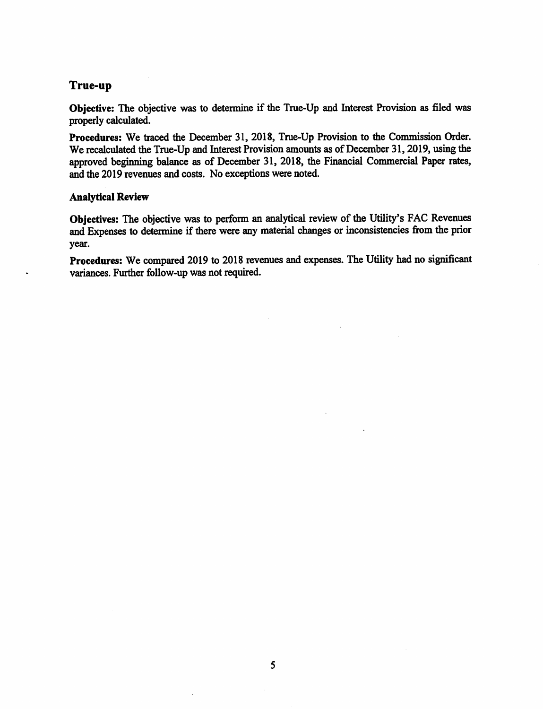## **True-up**

**Objective:** The objective was to determine if the True-Up and Interest Provision as filed was properly calculated.

**Procedures:** We traced the December 31, 2018, True-Up Provision to the Commission Order. We recalculated the True-Up and Interest Provision amounts as of December 31, 2019, using the approved beginning balance as of December 31, 2018, the Financial Commercial Paper rates, and the 2019 revenues and costs. No exceptions were noted.

#### **Analytical Review**

Objectives: The objective was to perform an analytical review of the Utility's FAC Revenues and Expenses to determine if there were any material changes or inconsistencies from the prior year.

**Procedures:** We compared 2019 to 2018 revenues and expenses. The Utility had no significant variances. Further follow-up was not required.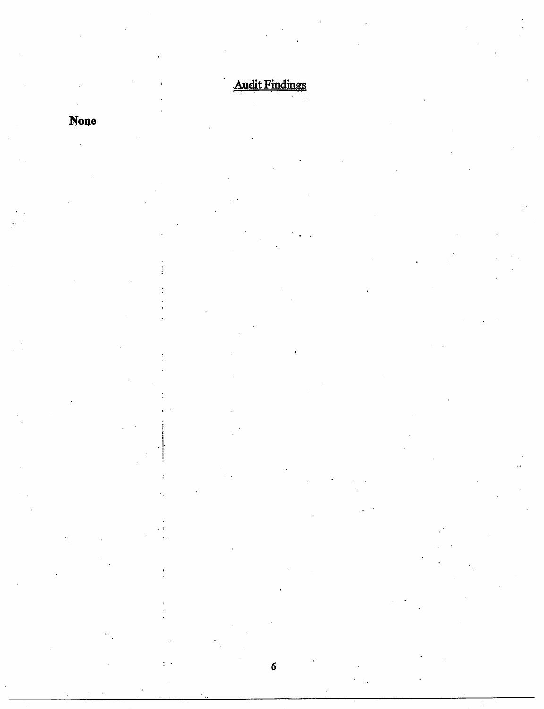# **Audit Findings**

 $\overline{6}$ 

 $\frac{1}{2}$  .

# None